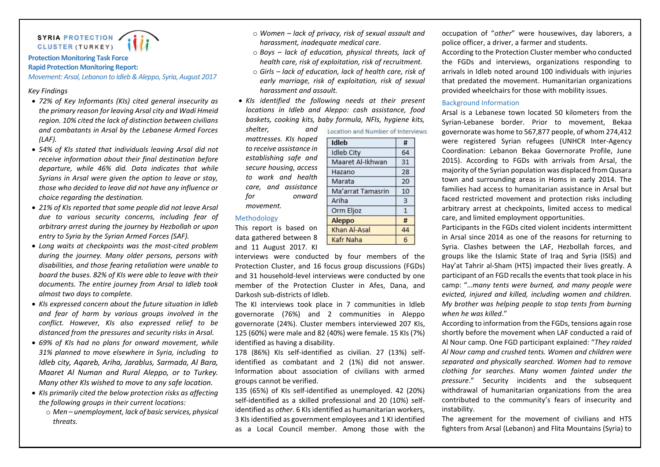

# **Protection Monitoring Task Force Rapid Protection Monitoring Report:**

*Movement: Arsal, Lebanon to Idleb & Aleppo, Syria, August 2017*

# *Key Findings*

- *72% of Key Informants (KIs) cited general insecurity as the primary reason for leaving Arsal city and Wadi Hmeid region. 10% cited the lack of distinction between civilians and combatants in Arsal by the Lebanese Armed Forces (LAF).*
- *54% of KIs stated that individuals leaving Arsal did not receive information about their final destination before departure, while 46% did. Data indicates that while Syrians in Arsal were given the option to leave or stay, those who decided to leave did not have any influence or choice regarding the destination.*
- *21% of KIs reported that some people did not leave Arsal due to various security concerns, including fear of arbitrary arrest during the journey by Hezbollah or upon entry to Syria by the Syrian Armed Forces (SAF).*
- *Long waits at checkpoints was the most-cited problem during the journey. Many older persons, persons with disabilities, and those fearing retaliation were unable to board the buses. 82% of KIs were able to leave with their documents. The entire journey from Arsal to Idleb took almost two days to complete.*
- *KIs expressed concern about the future situation in Idleb and fear of harm by various groups involved in the conflict. However, KIs also expressed relief to be distanced from the pressures and security risks in Arsal.*
- *69% of KIs had no plans for onward movement, while 31% planned to move elsewhere in Syria, including to Idleb city, Aqareb, Ariha, Jarablus, Sarmada, Al Bara, Maaret Al Numan and Rural Aleppo, or to Turkey. Many other KIs wished to move to any safe location.*
- *KIs primarily cited the below protection risks as affecting the following groups in their current locations:*
	- o *Men – unemployment, lack of basic services, physical threats.*
- o *Women – lack of privacy, risk of sexual assault and harassment, inadequate medical care.*
- o *Boys – lack of education, physical threats, lack of health care, risk of exploitation, risk of recruitment.*
- o *Girls – lack of education, lack of health care, risk of early marriage, risk of exploitation, risk of sexual harassment and assault.*
- *KIs identified the following needs at their present locations in Idleb and Aleppo: cash assistance, food baskets, cooking kits, baby formula, NFIs, hygiene kits,*

*shelter, and mattresses. KIs hoped to receive assistance in establishing safe and secure housing, access to work and health care, and assistance for onward movement.*

#### Methodology

This report is based on data gathered between 8 and 11 August 2017. KI

interviews were conducted by four members of the Protection Cluster, and 16 focus group discussions (FGDs) and 31 household-level interviews were conducted by one member of the Protection Cluster in Afes, Dana, and Darkosh sub-districts of Idleb.

Khan Al-Asal

Kafr Naha

The KI interviews took place in 7 communities in Idleb governorate (76%) and 2 communities in Aleppo governorate (24%). Cluster members interviewed 207 KIs, 125 (60%) were male and 82 (40%) were female. 15 KIs (7%) identified as having a disability.

178 (86%) KIs self-identified as civilian. 27 (13%) selfidentified as combatant and 2 (1%) did not answer. Information about association of civilians with armed groups cannot be verified.

135 (65%) of KIs self-identified as unemployed. 42 (20%) self-identified as a skilled professional and 20 (10%) selfidentified as *other*. 6 KIs identified as humanitarian workers, 3 KIs identified as government employees and 1 KI identified as a Local Council member. Among those with the occupation of "*other*" were housewives, day laborers, a police officer, a driver, a farmer and students.

According to the Protection Cluster member who conducted the FGDs and interviews, organizations responding to arrivals in Idleb noted around 100 individuals with injuries that predated the movement. Humanitarian organizations provided wheelchairs for those with mobility issues.

### Background Information

Arsal is a Lebanese town located 50 kilometers from the Syrian-Lebanese border. Prior to movement, Bekaa governorate was home to 567,877 people, of whom 274,412 were registered Syrian refugees (UNHCR Inter-Agency Coordination: Lebanon Bekaa Governorate Profile, June 2015). According to FGDs with arrivals from Arsal, the majority of the Syrian population was displaced from Qusara town and surrounding areas in Homs in early 2014. The families had access to humanitarian assistance in Arsal but faced restricted movement and protection risks including arbitrary arrest at checkpoints, limited access to medical care, and limited employment opportunities.

Participants in the FGDs cited violent incidents intermittent in Arsal since 2014 as one of the reasons for returning to Syria. Clashes between the LAF, Hezbollah forces, and groups like the Islamic State of Iraq and Syria (ISIS) and Hay'at Tahrir al-Sham (HTS) impacted their lives greatly. A participant of an FGD recalls the events that took place in his camp: "*…many tents were burned, and many people were evicted, injured and killed, including women and children. My brother was helping people to stop tents from burning when he was killed*."

According to information from the FGDs, tensions again rose shortly before the movement when LAF conducted a raid of Al Nour camp. One FGD participant explained: "*They raided Al Nour camp and crushed tents. Women and children were separated and physically searched. Women had to remove clothing for searches. Many women fainted under the pressure*." Security incidents and the subsequent withdrawal of humanitarian organizations from the area contributed to the community's fears of insecurity and instability.

The agreement for the movement of civilians and HTS fighters from Arsal (Lebanon) and Flita Mountains (Syria) to

| Idleb             | #  |
|-------------------|----|
| <b>Idleb City</b> | 64 |
| Maaret Al-Ikhwan  | 31 |
| Hazano            | 28 |
| Marata            | 20 |
| Ma'arrat Tamasrin | 10 |
| Ariha             | 3  |
| Orm Eljoz         |    |
| enno              |    |

44

6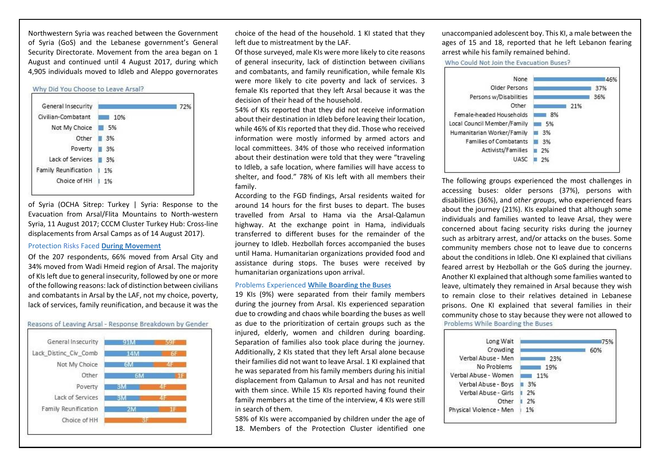Northwestern Syria was reached between the Government of Syria (GoS) and the Lebanese government's General Security Directorate. Movement from the area began on 1 August and continued until 4 August 2017, during which 4,905 individuals moved to Idleb and Aleppo governorates



of Syria (OCHA Sitrep: Turkey | Syria: Response to the Evacuation from Arsal/Flita Mountains to North-western Syria, 11 August 2017; CCCM Cluster Turkey Hub: Cross-line displacements from Arsal Camps as of 14 August 2017).

### Protection Risks Faced **During Movement**

Of the 207 respondents, 66% moved from Arsal City and 34% moved from Wadi Hmeid region of Arsal. The majority of KIs left due to general insecurity, followed by one or more of the following reasons: lack of distinction between civilians and combatants in Arsal by the LAF, not my choice, poverty, lack of services, family reunification, and because it was the



choice of the head of the household. 1 KI stated that they left due to mistreatment by the LAF.

Of those surveyed, male KIs were more likely to cite reasons of general insecurity, lack of distinction between civilians and combatants, and family reunification, while female KIs were more likely to cite poverty and lack of services. 3 female KIs reported that they left Arsal because it was the decision of their head of the household.

54% of KIs reported that they did not receive information about their destination in Idleb before leaving their location, while 46% of KIs reported that they did. Those who received information were mostly informed by armed actors and local committees. 34% of those who received information about their destination were told that they were "traveling to Idleb, a safe location, where families will have access to shelter, and food." 78% of KIs left with all members their family.

According to the FGD findings, Arsal residents waited for around 14 hours for the first buses to depart. The buses travelled from Arsal to Hama via the Arsal-Qalamun highway. At the exchange point in Hama, individuals transferred to different buses for the remainder of the journey to Idleb. Hezbollah forces accompanied the buses until Hama. Humanitarian organizations provided food and assistance during stops. The buses were received by humanitarian organizations upon arrival.

### Problems Experienced **While Boarding the Buses**

19 KIs (9%) were separated from their family members during the journey from Arsal. KIs experienced separation due to crowding and chaos while boarding the buses as well as due to the prioritization of certain groups such as the injured, elderly, women and children during boarding. Separation of families also took place during the journey. Additionally, 2 KIs stated that they left Arsal alone because their families did not want to leave Arsal. 1 KI explained that he was separated from his family members during his initial displacement from Qalamun to Arsal and has not reunited with them since. While 15 KIs reported having found their family members at the time of the interview, 4 KIs were still in search of them.

58% of KIs were accompanied by children under the age of 18. Members of the Protection Cluster identified one unaccompanied adolescent boy. This KI, a male between the ages of 15 and 18, reported that he left Lebanon fearing arrest while his family remained behind.

Who Could Not Join the Evacuation Buses?



The following groups experienced the most challenges in accessing buses: older persons (37%), persons with disabilities (36%), and *other groups*, who experienced fears about the journey (21%). KIs explained that although some individuals and families wanted to leave Arsal, they were concerned about facing security risks during the journey such as arbitrary arrest, and/or attacks on the buses. Some community members chose not to leave due to concerns about the conditions in Idleb. One KI explained that civilians feared arrest by Hezbollah or the GoS during the journey. Another KI explained that although some families wanted to leave, ultimately they remained in Arsal because they wish to remain close to their relatives detained in Lebanese prisons. One KI explained that several families in their community chose to stay because they were not allowed to Problems While Boarding the Buses

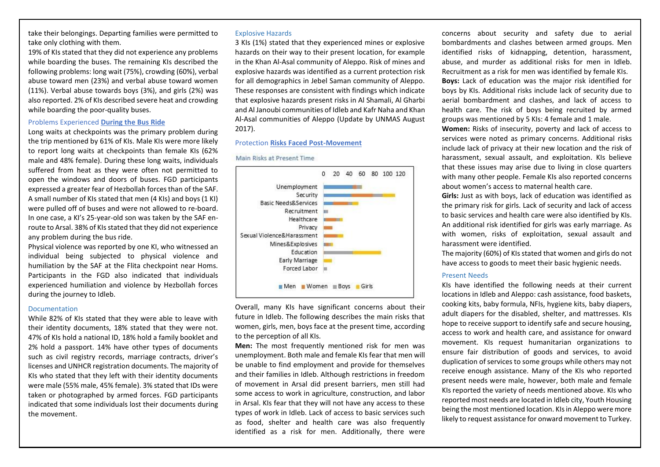take their belongings. Departing families were permitted to take only clothing with them.

19% of KIs stated that they did not experience any problems while boarding the buses. The remaining KIs described the following problems: long wait (75%), crowding (60%), verbal abuse toward men (23%) and verbal abuse toward women (11%). Verbal abuse towards boys (3%), and girls (2%) was also reported. 2% of KIs described severe heat and crowding while boarding the poor-quality buses.

### Problems Experienced **During the Bus Ride**

Long waits at checkpoints was the primary problem during the trip mentioned by 61% of KIs. Male KIs were more likely to report long waits at checkpoints than female KIs (62% male and 48% female). During these long waits, individuals suffered from heat as they were often not permitted to open the windows and doors of buses. FGD participants expressed a greater fear of Hezbollah forces than of the SAF. A small number of KIs stated that men (4 KIs) and boys (1 KI) were pulled off of buses and were not allowed to re-board. In one case, a KI's 25-year-old son was taken by the SAF enroute to Arsal. 38% of KIs stated that they did not experience any problem during the bus ride.

Physical violence was reported by one KI, who witnessed an individual being subjected to physical violence and humiliation by the SAF at the Flita checkpoint near Homs. Participants in the FGD also indicated that individuals experienced humiliation and violence by Hezbollah forces during the journey to Idleb.

### Documentation

While 82% of KIs stated that they were able to leave with their identity documents, 18% stated that they were not. 47% of KIs hold a national ID, 18% hold a family booklet and 2% hold a passport. 14% have other types of documents such as civil registry records, marriage contracts, driver's licenses and UNHCR registration documents. The majority of KIs who stated that they left with their identity documents were male (55% male, 45% female). 3% stated that IDs were taken or photographed by armed forces. FGD participants indicated that some individuals lost their documents during the movement.

### Explosive Hazards

3 KIs (1%) stated that they experienced mines or explosive hazards on their way to their present location, for example in the Khan Al-Asal community of Aleppo. Risk of mines and explosive hazards was identified as a current protection risk for all demographics in Jebel Saman community of Aleppo. These responses are consistent with findings which indicate that explosive hazards present risks in Al Shamali, Al Gharbi and Al Janoubi communities of Idleb and Kafr Naha and Khan Al-Asal communities of Aleppo (Update by UNMAS August 2017).

## Protection **Risks Faced Post-Movement**

#### Main Risks at Present Time



Overall, many KIs have significant concerns about their future in Idleb. The following describes the main risks that women, girls, men, boys face at the present time, according to the perception of all KIs.

**Men:** The most frequently mentioned risk for men was unemployment. Both male and female KIs fear that men will be unable to find employment and provide for themselves and their families in Idleb. Although restrictions in freedom of movement in Arsal did present barriers, men still had some access to work in agriculture, construction, and labor in Arsal. KIs fear that they will not have any access to these types of work in Idleb. Lack of access to basic services such as food, shelter and health care was also frequently identified as a risk for men. Additionally, there were

concerns about security and safety due to aerial bombardments and clashes between armed groups. Men identified risks of kidnapping, detention, harassment, abuse, and murder as additional risks for men in Idleb. Recruitment as a risk for men was identified by female KIs. **Boys:** Lack of education was the major risk identified for boys by KIs. Additional risks include lack of security due to aerial bombardment and clashes, and lack of access to health care. The risk of boys being recruited by armed groups was mentioned by 5 KIs: 4 female and 1 male. **Women:** Risks of insecurity, poverty and lack of access to services were noted as primary concerns. Additional risks include lack of privacy at their new location and the risk of harassment, sexual assault, and exploitation. KIs believe that these issues may arise due to living in close quarters with many other people. Female KIs also reported concerns about women's access to maternal health care.

**Girls:** Just as with boys, lack of education was identified as the primary risk for girls. Lack of security and lack of access to basic services and health care were also identified by KIs. An additional risk identified for girls was early marriage. As with women, risks of exploitation, sexual assault and harassment were identified.

The majority (60%) of KIs stated that women and girls do not have access to goods to meet their basic hygienic needs.

# Present Needs

KIs have identified the following needs at their current locations in Idleb and Aleppo: cash assistance, food baskets, cooking kits, baby formula, NFIs, hygiene kits, baby diapers, adult diapers for the disabled, shelter, and mattresses. KIs hope to receive support to identify safe and secure housing, access to work and health care, and assistance for onward movement. KIs request humanitarian organizations to ensure fair distribution of goods and services, to avoid duplication of services to some groups while others may not receive enough assistance. Many of the KIs who reported present needs were male, however, both male and female KIs reported the variety of needs mentioned above. KIs who reported most needs are located in Idleb city, Youth Housing being the most mentioned location. KIs in Aleppo were more likely to request assistance for onward movement to Turkey.